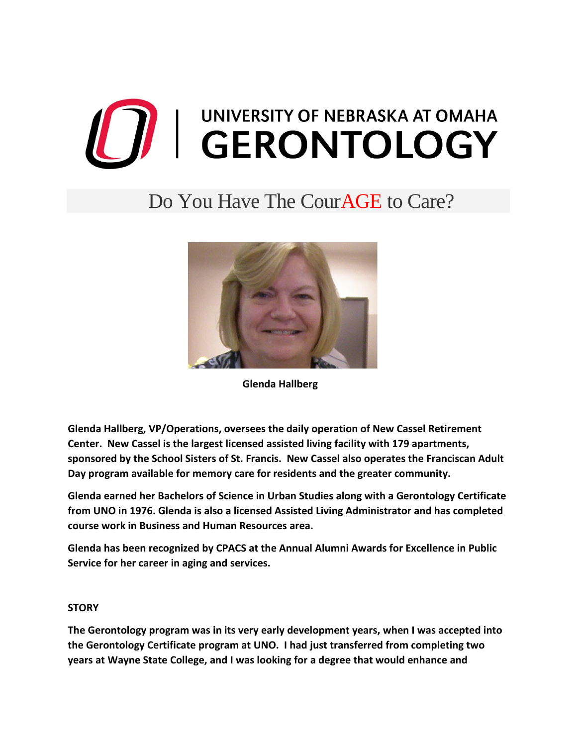## **THE SERVITY OF NEBRASKA AT OMAHA**

## Do You Have The CourAGE to Care?



 **Glenda Hallberg**

**Glenda Hallberg, VP/Operations, oversees the daily operation of New Cassel Retirement Center. New Cassel is the largest licensed assisted living facility with 179 apartments, sponsored by the School Sisters of St. Francis. New Cassel also operates the Franciscan Adult Day program available for memory care for residents and the greater community.**

**Glenda earned her Bachelors of Science in Urban Studies along with a Gerontology Certificate from UNO in 1976. Glenda is also a licensed Assisted Living Administrator and has completed course work in Business and Human Resources area.**

**Glenda has been recognized by CPACS at the Annual Alumni Awards for Excellence in Public Service for her career in aging and services.**

## **STORY**

**The Gerontology program was in its very early development years, when I was accepted into the Gerontology Certificate program at UNO. I had just transferred from completing two years at Wayne State College, and I was looking for a degree that would enhance and**